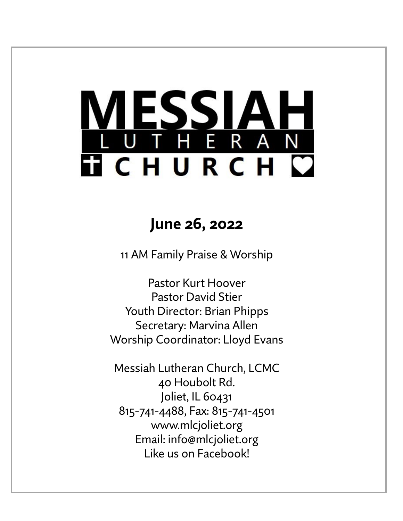# ESSIA THERAN **TICHURCH C**

# **June 26, 2022**

11 AM Family Praise & Worship

Pastor Kurt Hoover Pastor David Stier Youth Director: Brian Phipps Secretary: Marvina Allen Worship Coordinator: Lloyd Evans

Messiah Lutheran Church, LCMC 40 Houbolt Rd. Joliet, IL 60431 815-741-4488, Fax: 815-741-4501 www.mlcjoliet.org Email: info@mlcjoliet.org Like us on Facebook!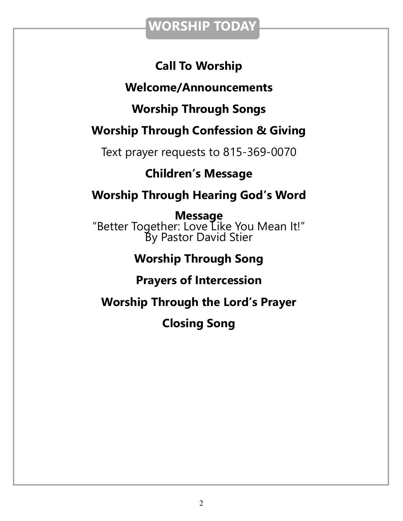### **WORSHIP TODAY**

### **Call To Worship**

### **Welcome/Announcements**

### **Worship Through Songs**

### **Worship Through Confession & Giving**

Text prayer requests to 815-369-0070

### **Children's Message**

### **Worship Through Hearing God's Word**

**Message** "Better Together: Love Like You Mean It!" By Pastor David Stier

### **Worship Through Song**

### **Prayers of Intercession**

**Worship Through the Lord's Prayer**

**Closing Song**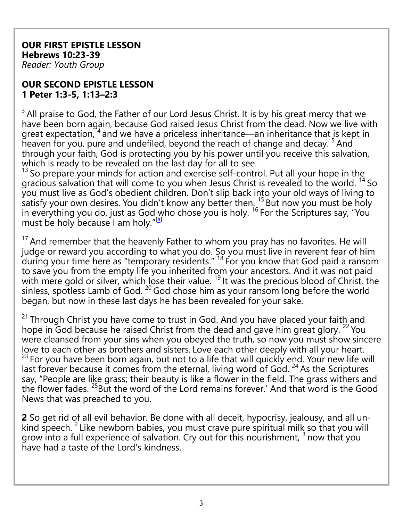#### **OUR FIRST EPISTLE LESSON Hebrews 10:23-39** *Reader: Youth Group*

#### **OUR SECOND EPISTLE LESSON 1 Peter 1:3-5, 1:13–2:3**

 $3$  All praise to God, the Father of our Lord Jesus Christ. It is by his great mercy that we have been born again, because God raised Jesus Christ from the dead. Now we live with great expectation, <sup>4</sup> and we have a priceless inheritance—an inheritance that is kept in heaven for you, pure and undefiled, beyond the reach of change and decay.  $5$  And through your faith, God is protecting you by his power until you receive this salvation, which is ready to be revealed on the last day for all to see.

<sup>13</sup> So prepare your minds for action and exercise self-control. Put all your hope in the gracious salvation that will come to you when Jesus Christ is revealed to the world. <sup>14</sup> So you must live as God's obedient children. Don't slip back into your old ways of living to satisfy your own desires. You didn't know any better then.  $15$  But now you must be holy in everything you do, just as God who chose you is holy. <sup>16</sup> For the Scriptures say, "You must be holy because I am holy."<sup>[\[a\]](https://www.biblegateway.com/passage/?search=1+peter+1%3A13%E2%80%932%3A3+&version=NLT#fen-NLT-30351a)</sup>

 $17$  And remember that the heavenly Father to whom you pray has no favorites. He will judge or reward you according to what you do. So you must live in reverent fear of him during your time here as "temporary residents."  $^{18}$  For you know that God paid a ransom to save you from the empty life you inherited from your ancestors. And it was not paid with mere gold or silver, which lose their value. <sup>19</sup> It was the precious blood of Christ, the sinless, spotless Lamb of God. <sup>20</sup> God chose him as your ransom long before the world began, but now in these last days he has been revealed for your sake.

<sup>21</sup> Through Christ you have come to trust in God. And you have placed your faith and hope in God because he raised Christ from the dead and gave him great glory. <sup>22</sup> You were cleansed from your sins when you obeyed the truth, so now you must show sincere love to each other as brothers and sisters. Love each other deeply with all your heart. <sup>23</sup> For you have been born again, but not to a life that will quickly end. Your new life will last forever because it comes from the eternal, living word of God.  $^{24}$  As the Scriptures say, "People are like grass; their beauty is like a flower in the field. The grass withers and the flower fades. <sup>25</sup>But the word of the Lord remains forever.' And that word is the Good News that was preached to you.

**2** So get rid of all evil behavior. Be done with all deceit, hypocrisy, jealousy, and all unkind speech. <sup>2</sup> Like newborn babies, you must crave pure spiritual milk so that you will grow into a full experience of salvation. Cry out for this nourishment,  $^3$  now that you have had a taste of the Lord's kindness.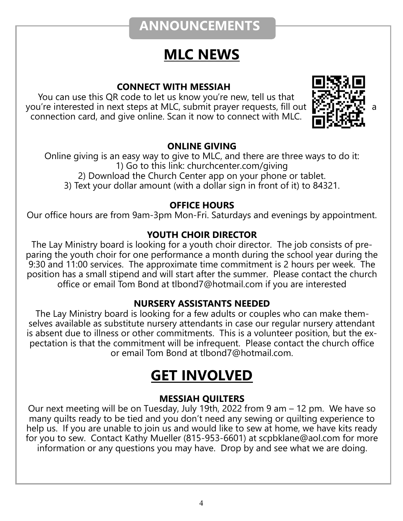## **ANNOUNCEMENTS**

# **MLC NEWS**

### **CONNECT WITH MESSIAH**

You can use this QR code to let us know you're new, tell us that you're interested in next steps at MLC, submit prayer requests, fill out a connection card, and give online. Scan it now to connect with MLC.



### **ONLINE GIVING**

Online giving is an easy way to give to MLC, and there are three ways to do it: 1) Go to this link: churchcenter.com/giving 2) Download the Church Center app on your phone or tablet.

3) Text your dollar amount (with a dollar sign in front of it) to 84321.

#### **OFFICE HOURS**

Our office hours are from 9am-3pm Mon-Fri. Saturdays and evenings by appointment.

### **YOUTH CHOIR DIRECTOR**

The Lay Ministry board is looking for a youth choir director. The job consists of preparing the youth choir for one performance a month during the school year during the 9:30 and 11:00 services. The approximate time commitment is 2 hours per week. The position has a small stipend and will start after the summer. Please contact the church office or email Tom Bond at tlbond7@hotmail.com if you are interested

#### **NURSERY ASSISTANTS NEEDED**

The Lay Ministry board is looking for a few adults or couples who can make themselves available as substitute nursery attendants in case our regular nursery attendant is absent due to illness or other commitments. This is a volunteer position, but the expectation is that the commitment will be infrequent. Please contact the church office or email Tom Bond at tlbond7@hotmail.com.

# **GET INVOLVED**

### **MESSIAH QUILTERS**

Our next meeting will be on Tuesday, July 19th, 2022 from 9 am – 12 pm. We have so many quilts ready to be tied and you don't need any sewing or quilting experience to help us. If you are unable to join us and would like to sew at home, we have kits ready for you to sew. Contact Kathy Mueller (815-953-6601) at scpbklane@aol.com for more information or any questions you may have. Drop by and see what we are doing.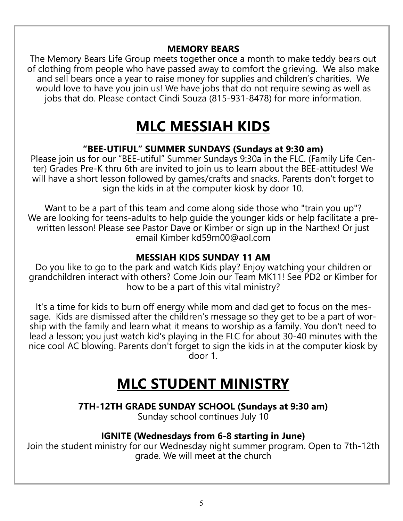#### **MEMORY BEARS**

The Memory Bears Life Group meets together once a month to make teddy bears out of clothing from people who have passed away to comfort the grieving. We also make and sell bears once a year to raise money for supplies and children's charities. We would love to have you join us! We have jobs that do not require sewing as well as jobs that do. Please contact Cindi Souza (815-931-8478) for more information.

# **MLC MESSIAH KIDS**

#### **"BEE-UTIFUL" SUMMER SUNDAYS (Sundays at 9:30 am)**

Please join us for our "BEE-utiful" Summer Sundays 9:30a in the FLC. (Family Life Center) Grades Pre-K thru 6th are invited to join us to learn about the BEE-attitudes! We will have a short lesson followed by games/crafts and snacks. Parents don't forget to sign the kids in at the computer kiosk by door 10.

Want to be a part of this team and come along side those who "train you up"? We are looking for teens-adults to help guide the younger kids or help facilitate a prewritten lesson! Please see Pastor Dave or Kimber or sign up in the Narthex! Or just email Kimber kd59rn00@aol.com

### **MESSIAH KIDS SUNDAY 11 AM**

Do you like to go to the park and watch Kids play? Enjoy watching your children or grandchildren interact with others? Come Join our Team MK11! See PD2 or Kimber for how to be a part of this vital ministry?

It's a time for kids to burn off energy while mom and dad get to focus on the message. Kids are dismissed after the children's message so they get to be a part of worship with the family and learn what it means to worship as a family. You don't need to lead a lesson; you just watch kid's playing in the FLC for about 30-40 minutes with the nice cool AC blowing. Parents don't forget to sign the kids in at the computer kiosk by door 1.

# **MLC STUDENT MINISTRY**

**7TH-12TH GRADE SUNDAY SCHOOL (Sundays at 9:30 am)**

Sunday school continues July 10

#### **IGNITE (Wednesdays from 6-8 starting in June)**

Join the student ministry for our Wednesday night summer program. Open to 7th-12th grade. We will meet at the church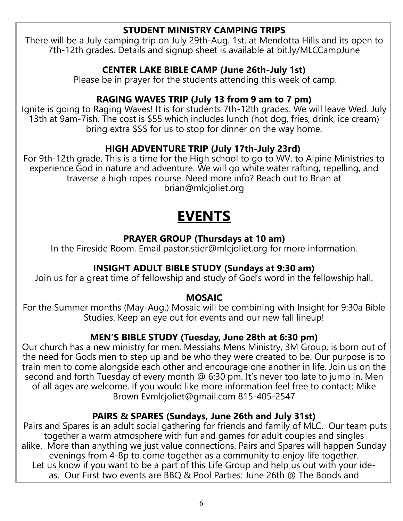#### **STUDENT MINISTRY CAMPING TRIPS**

There will be a July camping trip on July 29th-Aug. 1st. at Mendotta Hills and its open to 7th-12th grades. Details and signup sheet is available at bit.ly/MLCCampJune

### **CENTER LAKE BIBLE CAMP (June 26th-July 1st)**

Please be in prayer for the students attending this week of camp.

### **RAGING WAVES TRIP (July 13 from 9 am to 7 pm)**

Ignite is going to Raging Waves! It is for students 7th-12th grades. We will leave Wed. July 13th at 9am-7ish. The cost is \$55 which includes lunch (hot dog, fries, drink, ice cream) bring extra \$\$\$ for us to stop for dinner on the way home.

### **HIGH ADVENTURE TRIP (July 17th-July 23rd)**

For 9th-12th grade. This is a time for the High school to go to WV. to Alpine Ministries to experience God in nature and adventure. We will go white water rafting, repelling, and traverse a high ropes course. Need more info? Reach out to Brian at brian@mlcjoliet.org

# **EVENTS**

### **PRAYER GROUP (Thursdays at 10 am)**

In the Fireside Room. Email pastor.stier@mlcjoliet.org for more information.

### **INSIGHT ADULT BIBLE STUDY (Sundays at 9:30 am)**

Join us for a great time of fellowship and study of God's word in the fellowship hall.

#### **MOSAIC**

For the Summer months (May-Aug.) Mosaic will be combining with Insight for 9:30a Bible Studies. Keep an eye out for events and our new fall lineup!

### **MEN'S BIBLE STUDY (Tuesday, June 28th at 6:30 pm)**

Our church has a new ministry for men. Messiahs Mens Ministry, 3M Group, is born out of the need for Gods men to step up and be who they were created to be. Our purpose is to train men to come alongside each other and encourage one another in life. Join us on the second and forth Tuesday of every month @ 6:30 pm. It's never too late to jump in. Men of all ages are welcome. If you would like more information feel free to contact: Mike Brown Evmlcjoliet@gmail.com 815-405-2547

#### **PAIRS & SPARES (Sundays, June 26th and July 31st)**

Pairs and Spares is an adult social gathering for friends and family of MLC. Our team puts together a warm atmosphere with fun and games for adult couples and singles alike. More than anything we just value connections. Pairs and Spares will happen Sunday evenings from 4-8p to come together as a community to enjoy life together. Let us know if you want to be a part of this Life Group and help us out with your ideas. Our First two events are BBQ & Pool Parties: June 26th @ The Bonds and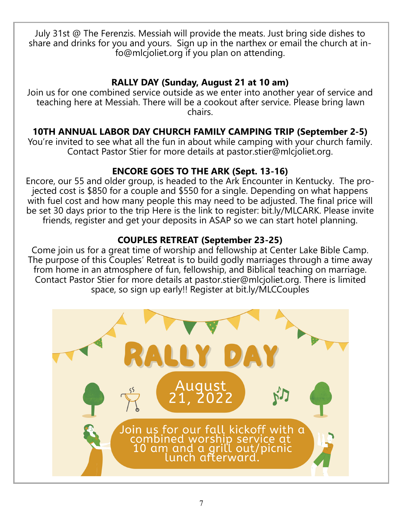July 31st @ The Ferenzis. Messiah will provide the meats. Just bring side dishes to share and drinks for you and yours. Sign up in the narthex or email the church at info@mlcjoliet.org if you plan on attending.

### **RALLY DAY (Sunday, August 21 at 10 am)**

Join us for one combined service outside as we enter into another year of service and teaching here at Messiah. There will be a cookout after service. Please bring lawn chairs.

### **10TH ANNUAL LABOR DAY CHURCH FAMILY CAMPING TRIP (September 2-5)**

You're invited to see what all the fun in about while camping with your church family. Contact Pastor Stier for more details at pastor.stier@mlcjoliet.org.

### **ENCORE GOES TO THE ARK (Sept. 13-16)**

Encore, our 55 and older group, is headed to the Ark Encounter in Kentucky. The projected cost is \$850 for a couple and \$550 for a single. Depending on what happens with fuel cost and how many people this may need to be adjusted. The final price will be set 30 days prior to the trip Here is the link to register: bit.ly/MLCARK. Please invite friends, register and get your deposits in ASAP so we can start hotel planning.

### **COUPLES RETREAT (September 23-25)**

Come join us for a great time of worship and fellowship at Center Lake Bible Camp. The purpose of this Couples' Retreat is to build godly marriages through a time away from home in an atmosphere of fun, fellowship, and Biblical teaching on marriage. Contact Pastor Stier for more details at pastor.stier@mlcjoliet.org. There is limited space, so sign up early!! Register at bit.ly/MLCCouples